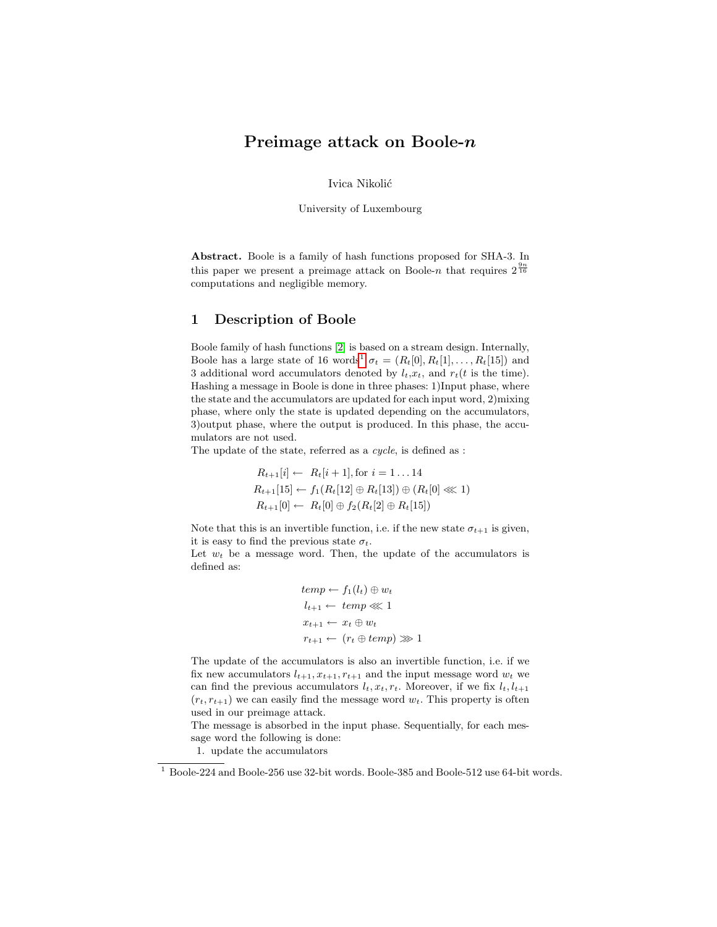# Preimage attack on Boole-n

Ivica Nikolić

University of Luxembourg

Abstract. Boole is a family of hash functions proposed for SHA-3. In this paper we present a preimage attack on Boole-n that requires  $2^{\frac{9n}{16}}$ computations and negligible memory.

# 1 Description of Boole

Boole family of hash functions [\[2\]](#page-4-0) is based on a stream design. Internally, Boole has a large state of [1](#page-0-0)6 words<sup>1</sup>  $\sigma_t = (R_t[0], R_t[1], \ldots, R_t[15])$  and 3 additional word accumulators denoted by  $l_t, x_t$ , and  $r_t(t)$  is the time). Hashing a message in Boole is done in three phases: 1)Input phase, where the state and the accumulators are updated for each input word, 2)mixing phase, where only the state is updated depending on the accumulators, 3)output phase, where the output is produced. In this phase, the accumulators are not used.

The update of the state, referred as a cycle, is defined as :

$$
R_{t+1}[i] \leftarrow R_t[i+1], \text{ for } i = 1 \dots 14
$$
  
\n
$$
R_{t+1}[15] \leftarrow f_1(R_t[12] \oplus R_t[13]) \oplus (R_t[0] \ll 1)
$$
  
\n
$$
R_{t+1}[0] \leftarrow R_t[0] \oplus f_2(R_t[2] \oplus R_t[15])
$$

Note that this is an invertible function, i.e. if the new state  $\sigma_{t+1}$  is given, it is easy to find the previous state  $\sigma_t$ .

Let  $w_t$  be a message word. Then, the update of the accumulators is defined as:

$$
temp \leftarrow f_1(l_t) \oplus w_t
$$

$$
l_{t+1} \leftarrow temp \lll 1
$$

$$
x_{t+1} \leftarrow x_t \oplus w_t
$$

$$
r_{t+1} \leftarrow (r_t \oplus temp) \ggl 1
$$

The update of the accumulators is also an invertible function, i.e. if we fix new accumulators  $l_{t+1}, x_{t+1}, r_{t+1}$  and the input message word  $w_t$  we can find the previous accumulators  $l_t, x_t, r_t$ . Moreover, if we fix  $l_t, l_{t+1}$  $(r_t, r_{t+1})$  we can easily find the message word  $w_t$ . This property is often used in our preimage attack.

The message is absorbed in the input phase. Sequentially, for each message word the following is done:

1. update the accumulators

<span id="page-0-0"></span> $^{\rm 1}$  Boole-224 and Boole-256 use 32-bit words. Boole-385 and Boole-512 use 64-bit words.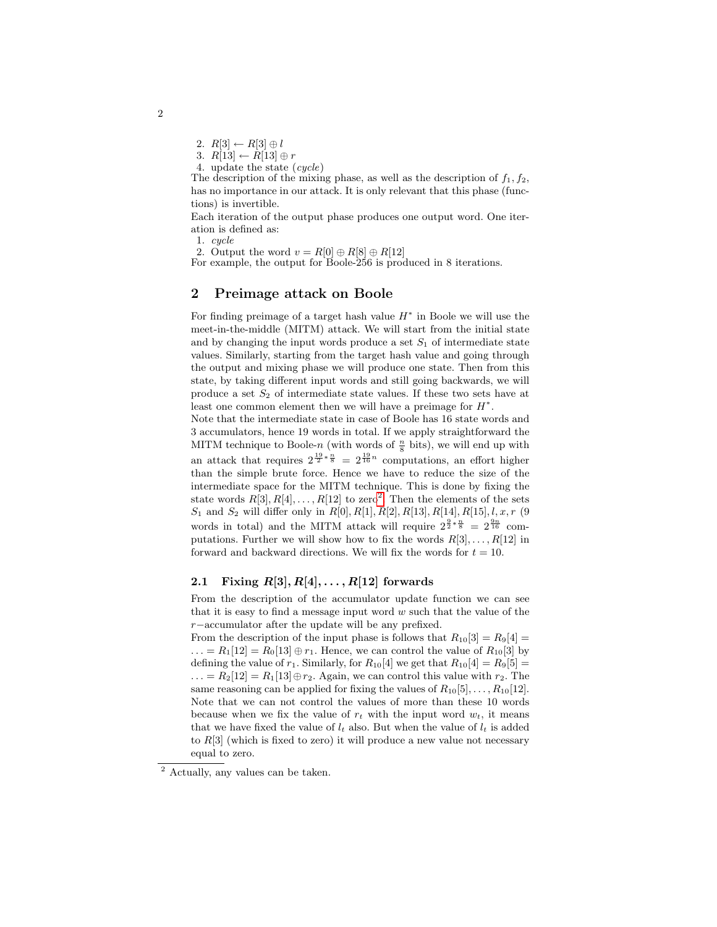2.  $R[3] \leftarrow R[3] \oplus l$ 

3.  $R[13] \leftarrow R[13] \oplus r$ 

4. update the state (cycle)

The description of the mixing phase, as well as the description of  $f_1, f_2$ , has no importance in our attack. It is only relevant that this phase (functions) is invertible.

Each iteration of the output phase produces one output word. One iteration is defined as:

1. cycle

2. Output the word  $v = R[0] \oplus R[8] \oplus R[12]$ 

For example, the output for Boole-256 is produced in 8 iterations.

# 2 Preimage attack on Boole

For finding preimage of a target hash value  $H^*$  in Boole we will use the meet-in-the-middle (MITM) attack. We will start from the initial state and by changing the input words produce a set  $S_1$  of intermediate state values. Similarly, starting from the target hash value and going through the output and mixing phase we will produce one state. Then from this state, by taking different input words and still going backwards, we will produce a set  $S_2$  of intermediate state values. If these two sets have at least one common element then we will have a preimage for  $H^*$ .

Note that the intermediate state in case of Boole has 16 state words and 3 accumulators, hence 19 words in total. If we apply straightforward the MITM technique to Boole- $n$  (with words of  $\frac{n}{8}$  bits), we will end up with an attack that requires  $2^{\frac{19}{2}*\frac{n}{8}} = 2^{\frac{19}{16}n}$  computations, an effort higher than the simple brute force. Hence we have to reduce the size of the intermediate space for the MITM technique. This is done by fixing the state words  $R[3], R[4], \ldots, R[12]$  $R[3], R[4], \ldots, R[12]$  $R[3], R[4], \ldots, R[12]$  to zero<sup>2</sup>. Then the elements of the sets  $S_1$  and  $S_2$  will differ only in  $R[0], R[1], R[2], R[13], R[14], R[15], l, x, r$  (9 words in total) and the MITM attack will require  $2^{\frac{9}{2}*\frac{n}{8}} = 2^{\frac{9n}{16}}$  computations. Further we will show how to fix the words  $R[3], \ldots, R[12]$  in forward and backward directions. We will fix the words for  $t = 10$ .

### 2.1 Fixing  $R[3], R[4], \ldots, R[12]$  forwards

From the description of the accumulator update function we can see that it is easy to find a message input word  $w$  such that the value of the r−accumulator after the update will be any prefixed.

From the description of the input phase is follows that  $R_{10}[3] = R_9[4] =$ ... =  $R_1[12] = R_0[13] \oplus r_1$ . Hence, we can control the value of  $R_{10}[3]$  by defining the value of  $r_1$ . Similarly, for  $R_{10}[4]$  we get that  $R_{10}[4] = R_9[5] =$  $\ldots = R_2[12] = R_1[13] \oplus r_2$ . Again, we can control this value with  $r_2$ . The same reasoning can be applied for fixing the values of  $R_{10}[5], \ldots, R_{10}[12]$ . Note that we can not control the values of more than these 10 words because when we fix the value of  $r_t$  with the input word  $w_t$ , it means that we have fixed the value of  $l_t$  also. But when the value of  $l_t$  is added to  $R[3]$  (which is fixed to zero) it will produce a new value not necessary equal to zero.

2

<span id="page-1-0"></span> $\overline{2}$  Actually, any values can be taken.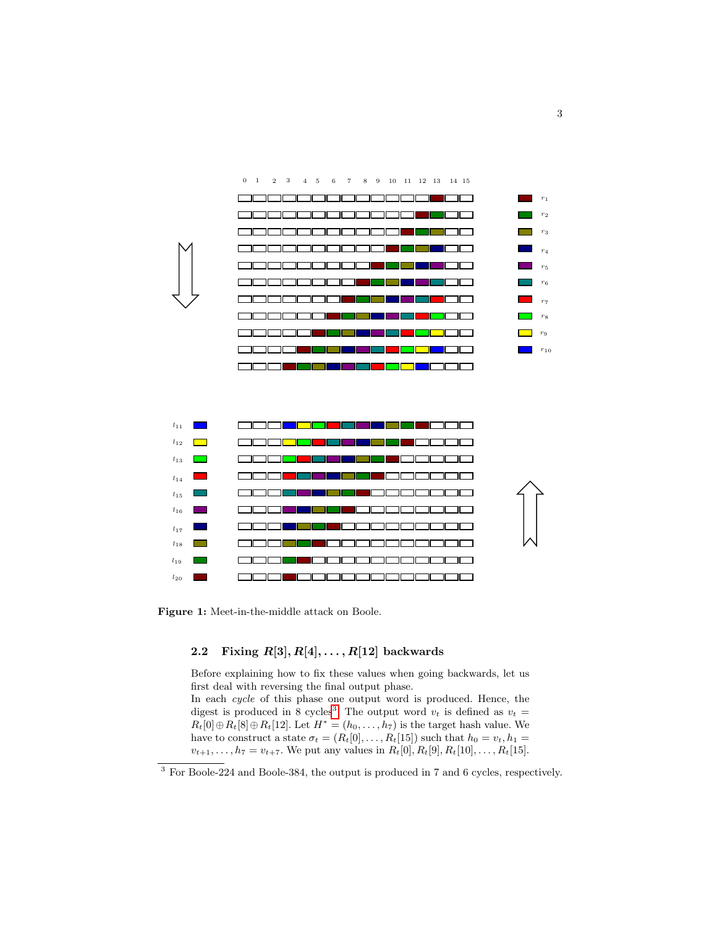

Figure 1: Meet-in-the-middle attack on Boole.

# 2.2 Fixing  $R[3], R[4], \ldots, R[12]$  backwards

Before explaining how to fix these values when going backwards, let us first deal with reversing the final output phase. In each cycle of this phase one output word is produced. Hence, the digest is produced in 8 cycles<sup>[3](#page-2-0)</sup>. The output word  $v_t$  is defined as  $v_t =$  $R_t[0] \oplus R_t[8] \oplus R_t[12]$ . Let  $H^* = (h_0, \ldots, h_7)$  is the target hash value. We have to construct a state  $\sigma_t = (R_t[0], \ldots, R_t[15])$  such that  $h_0 = v_t, h_1 =$  $v_{t+1}, \ldots, h_7 = v_{t+7}$ . We put any values in  $R_t[0], R_t[9], R_t[10], \ldots, R_t[15]$ .

<span id="page-2-0"></span> $\overline{3}$  For Boole-224 and Boole-384, the output is produced in 7 and 6 cycles, respectively.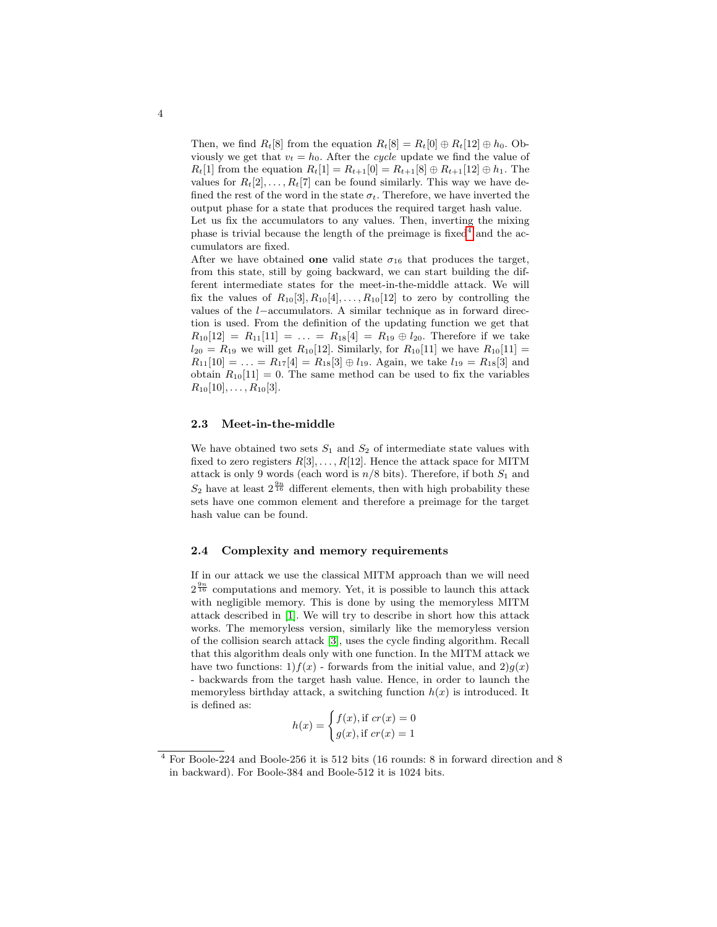Then, we find  $R_t[8]$  from the equation  $R_t[8] = R_t[0] \oplus R_t[12] \oplus h_0$ . Obviously we get that  $v_t = h_0$ . After the cycle update we find the value of  $R_t[1]$  from the equation  $R_t[1] = R_{t+1}[0] = R_{t+1}[8] \oplus R_{t+1}[12] \oplus h_1$ . The values for  $R_t[2], \ldots, R_t[7]$  can be found similarly. This way we have defined the rest of the word in the state  $\sigma_t$ . Therefore, we have inverted the output phase for a state that produces the required target hash value. Let us fix the accumulators to any values. Then, inverting the mixing phase is trivial because the length of the preimage is fixed<sup>[4](#page-3-0)</sup> and the accumulators are fixed.

After we have obtained one valid state  $\sigma_{16}$  that produces the target, from this state, still by going backward, we can start building the different intermediate states for the meet-in-the-middle attack. We will fix the values of  $R_{10}[3], R_{10}[4], \ldots, R_{10}[12]$  to zero by controlling the values of the l−accumulators. A similar technique as in forward direction is used. From the definition of the updating function we get that  $R_{10}[12] = R_{11}[11] = \ldots = R_{18}[4] = R_{19} \oplus l_{20}$ . Therefore if we take  $l_{20} = R_{19}$  we will get  $R_{10}[12]$ . Similarly, for  $R_{10}[11]$  we have  $R_{10}[11] =$  $R_{11}[10] = \ldots = R_{17}[4] = R_{18}[3] \oplus l_{19}$ . Again, we take  $l_{19} = R_{18}[3]$  and obtain  $R_{10}[11] = 0$ . The same method can be used to fix the variables  $R_{10}[10], \ldots, R_{10}[3].$ 

### 2.3 Meet-in-the-middle

We have obtained two sets  $S_1$  and  $S_2$  of intermediate state values with fixed to zero registers  $R[3], \ldots, R[12]$ . Hence the attack space for MITM attack is only 9 words (each word is  $n/8$  bits). Therefore, if both  $S_1$  and  $S_2$  have at least  $2^{\frac{9n}{16}}$  different elements, then with high probability these sets have one common element and therefore a preimage for the target hash value can be found.

#### 2.4 Complexity and memory requirements

If in our attack we use the classical MITM approach than we will need  $2^{\frac{9n}{16}}$  computations and memory. Yet, it is possible to launch this attack with negligible memory. This is done by using the memoryless MITM attack described in [\[1\]](#page-4-1). We will try to describe in short how this attack works. The memoryless version, similarly like the memoryless version of the collision search attack [\[3\]](#page-4-2), uses the cycle finding algorithm. Recall that this algorithm deals only with one function. In the MITM attack we have two functions: 1)  $f(x)$  - forwards from the initial value, and 2)  $g(x)$ - backwards from the target hash value. Hence, in order to launch the memoryless birthday attack, a switching function  $h(x)$  is introduced. It is defined as:

$$
h(x) = \begin{cases} f(x), & \text{if } cr(x) = 0\\ g(x), & \text{if } cr(x) = 1 \end{cases}
$$

<span id="page-3-0"></span> $^4$  For Boole-224 and Boole-256 it is 512 bits (16 rounds: 8 in forward direction and 8  $\,$ in backward). For Boole-384 and Boole-512 it is 1024 bits.